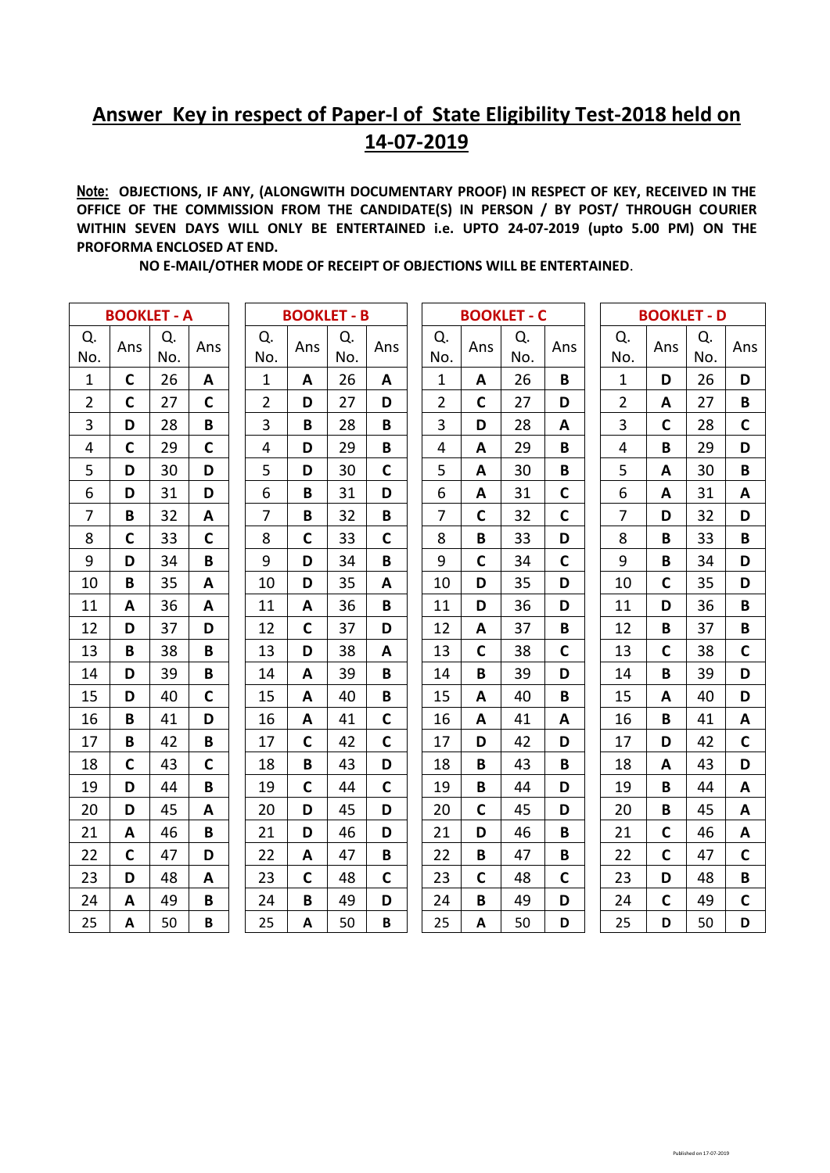## **Answer Key in respect of Paper-I of State Eligibility Test-2018 held on 14-07-2019**

**Note: OBJECTIONS, IF ANY, (ALONGWITH DOCUMENTARY PROOF) IN RESPECT OF KEY, RECEIVED IN THE OFFICE OF THE COMMISSION FROM THE CANDIDATE(S) IN PERSON / BY POST/ THROUGH COURIER WITHIN SEVEN DAYS WILL ONLY BE ENTERTAINED i.e. UPTO 24-07-2019 (upto 5.00 PM) ON THE PROFORMA ENCLOSED AT END.** 

 **NO E-MAIL/OTHER MODE OF RECEIPT OF OBJECTIONS WILL BE ENTERTAINED**.

| <b>BOOKLET - A</b> |              |           |              | <b>BOOKLET - B</b> |             |           |              | <b>BOOKLET - C</b> |              |           |              | <b>BOOKLET - D</b> |              |           |             |
|--------------------|--------------|-----------|--------------|--------------------|-------------|-----------|--------------|--------------------|--------------|-----------|--------------|--------------------|--------------|-----------|-------------|
| Q.<br>No.          | Ans          | Q.<br>No. | Ans          | Q.<br>No.          | Ans         | Q.<br>No. | Ans          | Q.<br>No.          | Ans          | Q.<br>No. | Ans          | Q.<br>No.          | Ans          | Q.<br>No. | Ans         |
| $\mathbf{1}$       | $\mathbf C$  | 26        | A            | $\mathbf{1}$       | A           | 26        | A            | $\mathbf{1}$       | A            | 26        | B            | $\mathbf{1}$       | D            | 26        | D           |
| $\overline{2}$     | $\mathsf{C}$ | 27        | $\mathsf{C}$ | $\overline{2}$     | D           | 27        | D            | $\overline{2}$     | $\mathsf{C}$ | 27        | D            | $\overline{2}$     | A            | 27        | B           |
| 3                  | D            | 28        | B            | 3                  | B           | 28        | B            | 3                  | D            | 28        | A            | 3                  | $\mathbf C$  | 28        | $\mathbf C$ |
| 4                  | $\mathbf c$  | 29        | $\mathsf{C}$ | 4                  | D           | 29        | B            | 4                  | A            | 29        | B            | 4                  | B            | 29        | D           |
| 5                  | D            | 30        | D            | 5                  | D           | 30        | C            | 5                  | A            | 30        | B            | 5                  | A            | 30        | B           |
| 6                  | D            | 31        | D            | 6                  | B           | 31        | D            | 6                  | A            | 31        | $\mathbf C$  | 6                  | A            | 31        | A           |
| $\overline{7}$     | B            | 32        | A            | $\overline{7}$     | B           | 32        | B            | $\overline{7}$     | $\mathbf C$  | 32        | $\mathsf{C}$ | $\overline{7}$     | D            | 32        | D           |
| 8                  | $\mathbf C$  | 33        | $\mathbf C$  | 8                  | $\mathbf c$ | 33        | $\mathsf{C}$ | 8                  | B            | 33        | D            | 8                  | B            | 33        | B           |
| 9                  | D            | 34        | B            | 9                  | D           | 34        | B            | 9                  | $\mathbf C$  | 34        | $\mathbf C$  | 9                  | B            | 34        | D           |
| 10                 | B            | 35        | A            | 10                 | D           | 35        | A            | 10                 | D            | 35        | D            | 10                 | $\mathsf{C}$ | 35        | D           |
| 11                 | A            | 36        | A            | 11                 | A           | 36        | B            | 11                 | D            | 36        | D            | 11                 | D            | 36        | B           |
| 12                 | D            | 37        | D            | 12                 | $\mathbf c$ | 37        | D            | 12                 | A            | 37        | B            | 12                 | B            | 37        | B           |
| 13                 | $\, {\bf B}$ | 38        | B            | 13                 | D           | 38        | A            | 13                 | $\mathbf C$  | 38        | $\mathbf C$  | 13                 | $\mathbf C$  | 38        | $\mathbf C$ |
| 14                 | D            | 39        | B            | 14                 | A           | 39        | B            | 14                 | B            | 39        | D            | 14                 | B            | 39        | D           |
| 15                 | D            | 40        | $\mathsf{C}$ | 15                 | A           | 40        | B            | 15                 | A            | 40        | B            | 15                 | A            | 40        | D           |
| 16                 | B            | 41        | D            | 16                 | A           | 41        | $\mathbf C$  | 16                 | A            | 41        | A            | 16                 | B            | 41        | A           |
| 17                 | B            | 42        | B            | 17                 | $\mathbf c$ | 42        | C            | 17                 | D            | 42        | D            | 17                 | D            | 42        | $\mathbf C$ |
| 18                 | $\mathbf C$  | 43        | $\mathsf{C}$ | 18                 | B           | 43        | D            | 18                 | B            | 43        | B            | 18                 | A            | 43        | D           |
| 19                 | D            | 44        | B            | 19                 | $\mathbf c$ | 44        | $\mathsf{C}$ | 19                 | B            | 44        | D            | 19                 | B            | 44        | A           |
| 20                 | D            | 45        | A            | 20                 | D           | 45        | D            | 20                 | $\mathbf C$  | 45        | D            | 20                 | B            | 45        | A           |
| 21                 | A            | 46        | B            | 21                 | D           | 46        | D            | 21                 | D            | 46        | B            | 21                 | $\mathbf C$  | 46        | A           |
| 22                 | $\mathbf C$  | 47        | D            | 22                 | A           | 47        | B            | 22                 | B            | 47        | B            | 22                 | $\mathbf C$  | 47        | $\mathbf C$ |
| 23                 | D            | 48        | A            | 23                 | $\mathbf c$ | 48        | C            | 23                 | $\mathbf C$  | 48        | $\mathsf{C}$ | 23                 | D            | 48        | B           |
| 24                 | A            | 49        | B            | 24                 | B           | 49        | D            | 24                 | B            | 49        | D            | 24                 | $\mathbf C$  | 49        | $\mathbf C$ |
| 25                 | A            | 50        | B            | 25                 | A           | 50        | B            | 25                 | A            | 50        | D            | 25                 | D            | 50        | D           |